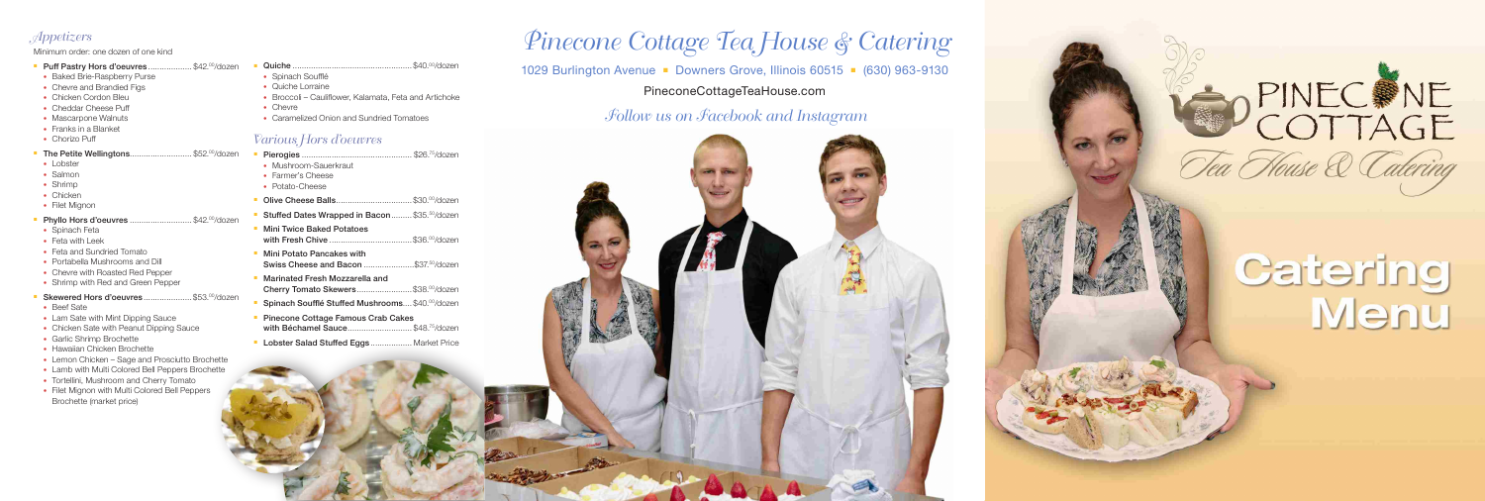## Appetizers

### Minimum order: one dozen of one kind

- **Puff Pastry Hors d'oeuvres ..................... \$42.00/dozen**
- Baked Brie-Raspberry Purse
- Chevre and Brandied Figs
- Chicken Cordon Bleu
- Cheddar Cheese Puff
- Mascarpone Walnuts
- Franks in a Blanket
- Chorizo Puff

## The Petite Wellingtons..............................\$52.00/dozen

- Lobster
- Salmon
- Shrimp
- Chicken
- Filet Mignon
- Phyllo Hors d'oeuvres .............................\$42.00/dozen
- Spinach Feta
- Feta with Leek
- Feta and Sundried Tomato
- Portabella Mushrooms and Dill
- Chevre with Roasted Red Pepper
- Shrimp with Red and Green Pepper

## Skewered Hors d'oeuvres .......................\$53.00/dozen

- <sup>n</sup> Pierogies ................................................ \$26.75/dozen • Mushroom-Sauerkraut • Farmer's Cheese • Potato-Cheese <sup>n</sup> Olive Cheese Balls................................. \$30.00/dozen Stuffed Dates Wrapped in Bacon......... \$35.50/dozen **Nini Twice Baked Potatoes** with Fresh Chive ....................................\$36.00/dozen **Nini Potato Pancakes with** Swiss Cheese and Bacon .........................\$37.50/dozen
- Cherry Tomato Skewers..........................\$38.00/dozen
- 
- with Béchamel Sauce................................ \$48.75/dozen
- 
- Beef Sate
- Lam Sate with Mint Dipping Sauce
- Chicken Sate with Peanut Dipping Sauce
- Garlic Shrimp Brochette
- Hawaiian Chicken Brochette
- Lemon Chicken Sage and Prosciutto Brochette
- Lamb with Multi Colored Bell Peppers Brochette
- Tortellini, Mushroom and Cherry Tomato
- Filet Mignon with Multi Colored Bell Peppers Brochette (market price)

## Pinecone Cottage Tea House & Catering 1029 Burlington Avenue • Downers Grove, Illinois 60515 • (630) 963-9130 PineconeCottageTeaHouse.com

- <sup>n</sup> Quiche .................................................... \$40.00/dozen
- Spinach Soufflé
- Quiche Lorraine
- Broccoli Cauliflower, Kalamata, Feta and Artichoke
- Chevre
- Caramelized Onion and Sundried Tomatoes

## Various Hors d'oeuvres

## Follow us on Facebook and Instagram



- 
- **Narinated Fresh Mozzarella and**
- Spinach Soufflé Stuffed Mushrooms.... \$40.00/dozen
- **Pinecone Cottage Famous Crab Cakes**
- **Lobster Salad Stuffed Eggs .................. Market Price**



# Catering<br>Menu